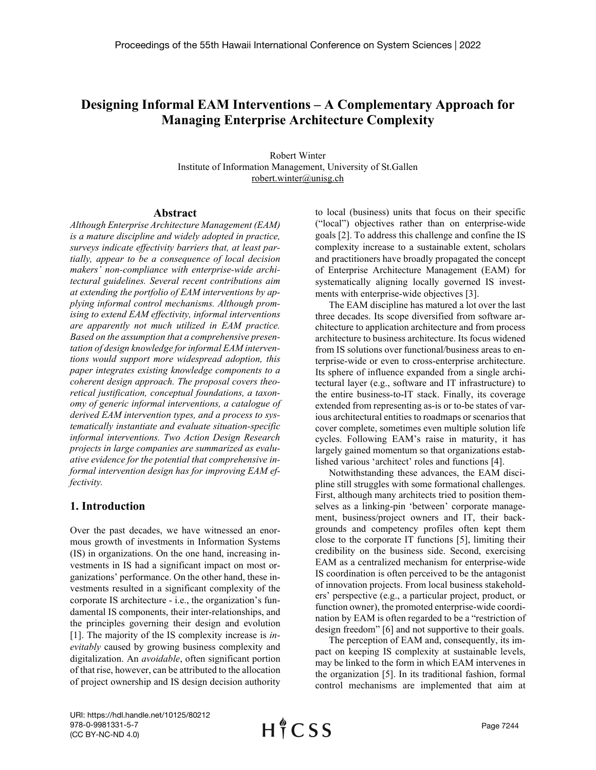# **Designing Informal EAM Interventions – A Complementary Approach for Managing Enterprise Architecture Complexity**

Robert Winter Institute of Information Management, University of St.Gallen robert.winter@unisg.ch

#### **Abstract**

*Although Enterprise Architecture Management (EAM) is a mature discipline and widely adopted in practice, surveys indicate effectivity barriers that, at least partially, appear to be a consequence of local decision makers' non-compliance with enterprise-wide architectural guidelines. Several recent contributions aim at extending the portfolio of EAM interventions by applying informal control mechanisms. Although promising to extend EAM effectivity, informal interventions are apparently not much utilized in EAM practice. Based on the assumption that a comprehensive presentation of design knowledge for informal EAM interventions would support more widespread adoption, this paper integrates existing knowledge components to a coherent design approach. The proposal covers theoretical justification, conceptual foundations, a taxonomy of generic informal interventions, a catalogue of derived EAM intervention types, and a process to systematically instantiate and evaluate situation-specific informal interventions. Two Action Design Research projects in large companies are summarized as evaluative evidence for the potential that comprehensive informal intervention design has for improving EAM effectivity.*

## **1. Introduction**

Over the past decades, we have witnessed an enormous growth of investments in Information Systems (IS) in organizations. On the one hand, increasing investments in IS had a significant impact on most organizations' performance. On the other hand, these investments resulted in a significant complexity of the corporate IS architecture - i.e., the organization's fundamental IS components, their inter-relationships, and the principles governing their design and evolution [1]. The majority of the IS complexity increase is *inevitably* caused by growing business complexity and digitalization. An *avoidable*, often significant portion of that rise, however, can be attributed to the allocation of project ownership and IS design decision authority to local (business) units that focus on their specific ("local") objectives rather than on enterprise-wide goals [2]. To address this challenge and confine the IS complexity increase to a sustainable extent, scholars and practitioners have broadly propagated the concept of Enterprise Architecture Management (EAM) for systematically aligning locally governed IS investments with enterprise-wide objectives [3].

The EAM discipline has matured a lot over the last three decades. Its scope diversified from software architecture to application architecture and from process architecture to business architecture. Its focus widened from IS solutions over functional/business areas to enterprise-wide or even to cross-enterprise architecture. Its sphere of influence expanded from a single architectural layer (e.g., software and IT infrastructure) to the entire business-to-IT stack. Finally, its coverage extended from representing as-is or to-be states of various architectural entities to roadmaps or scenarios that cover complete, sometimes even multiple solution life cycles. Following EAM's raise in maturity, it has largely gained momentum so that organizations established various 'architect' roles and functions [4].

Notwithstanding these advances, the EAM discipline still struggles with some formational challenges. First, although many architects tried to position themselves as a linking-pin 'between' corporate management, business/project owners and IT, their backgrounds and competency profiles often kept them close to the corporate IT functions [5], limiting their credibility on the business side. Second, exercising EAM as a centralized mechanism for enterprise-wide IS coordination is often perceived to be the antagonist of innovation projects. From local business stakeholders' perspective (e.g., a particular project, product, or function owner), the promoted enterprise-wide coordination by EAM is often regarded to be a "restriction of design freedom" [6] and not supportive to their goals.

The perception of EAM and, consequently, its impact on keeping IS complexity at sustainable levels, may be linked to the form in which EAM intervenes in the organization [5]. In its traditional fashion, formal control mechanisms are implemented that aim at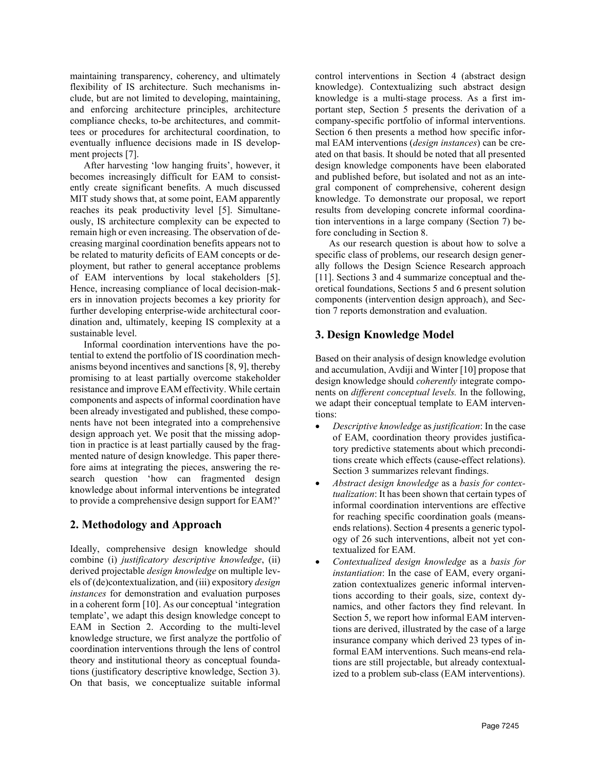maintaining transparency, coherency, and ultimately flexibility of IS architecture. Such mechanisms include, but are not limited to developing, maintaining, and enforcing architecture principles, architecture compliance checks, to-be architectures, and committees or procedures for architectural coordination, to eventually influence decisions made in IS development projects [7].

After harvesting 'low hanging fruits', however, it becomes increasingly difficult for EAM to consistently create significant benefits. A much discussed MIT study shows that, at some point, EAM apparently reaches its peak productivity level [5]. Simultaneously, IS architecture complexity can be expected to remain high or even increasing. The observation of decreasing marginal coordination benefits appears not to be related to maturity deficits of EAM concepts or deployment, but rather to general acceptance problems of EAM interventions by local stakeholders [5]. Hence, increasing compliance of local decision-makers in innovation projects becomes a key priority for further developing enterprise-wide architectural coordination and, ultimately, keeping IS complexity at a sustainable level.

Informal coordination interventions have the potential to extend the portfolio of IS coordination mechanisms beyond incentives and sanctions [8, 9], thereby promising to at least partially overcome stakeholder resistance and improve EAM effectivity. While certain components and aspects of informal coordination have been already investigated and published, these components have not been integrated into a comprehensive design approach yet. We posit that the missing adoption in practice is at least partially caused by the fragmented nature of design knowledge. This paper therefore aims at integrating the pieces, answering the research question 'how can fragmented design knowledge about informal interventions be integrated to provide a comprehensive design support for EAM?'

# **2. Methodology and Approach**

Ideally, comprehensive design knowledge should combine (i) *justificatory descriptive knowledge*, (ii) derived projectable *design knowledge* on multiple levels of (de)contextualization, and (iii) expository *design instances* for demonstration and evaluation purposes in a coherent form [10]. As our conceptual 'integration template', we adapt this design knowledge concept to EAM in Section 2. According to the multi-level knowledge structure, we first analyze the portfolio of coordination interventions through the lens of control theory and institutional theory as conceptual foundations (justificatory descriptive knowledge, Section 3). On that basis, we conceptualize suitable informal

control interventions in Section 4 (abstract design knowledge). Contextualizing such abstract design knowledge is a multi-stage process. As a first important step, Section 5 presents the derivation of a company-specific portfolio of informal interventions. Section 6 then presents a method how specific informal EAM interventions (*design instances*) can be created on that basis. It should be noted that all presented design knowledge components have been elaborated and published before, but isolated and not as an integral component of comprehensive, coherent design knowledge. To demonstrate our proposal, we report results from developing concrete informal coordination interventions in a large company (Section 7) before concluding in Section 8.

As our research question is about how to solve a specific class of problems, our research design generally follows the Design Science Research approach [11]. Sections 3 and 4 summarize conceptual and theoretical foundations, Sections 5 and 6 present solution components (intervention design approach), and Section 7 reports demonstration and evaluation.

# **3. Design Knowledge Model**

Based on their analysis of design knowledge evolution and accumulation, Avdiji and Winter [10] propose that design knowledge should *coherently* integrate components on *different conceptual levels.* In the following, we adapt their conceptual template to EAM interventions:

- *Descriptive knowledge* as *justification*: In the case of EAM, coordination theory provides justificatory predictive statements about which preconditions create which effects (cause-effect relations). Section 3 summarizes relevant findings.
- *Abstract design knowledge* as a *basis for contextualization*: It has been shown that certain types of informal coordination interventions are effective for reaching specific coordination goals (meansends relations). Section 4 presents a generic typology of 26 such interventions, albeit not yet contextualized for EAM.
- *Contextualized design knowledge* as a *basis for instantiation*: In the case of EAM, every organization contextualizes generic informal interventions according to their goals, size, context dynamics, and other factors they find relevant. In Section 5, we report how informal EAM interventions are derived, illustrated by the case of a large insurance company which derived 23 types of informal EAM interventions. Such means-end relations are still projectable, but already contextualized to a problem sub-class (EAM interventions).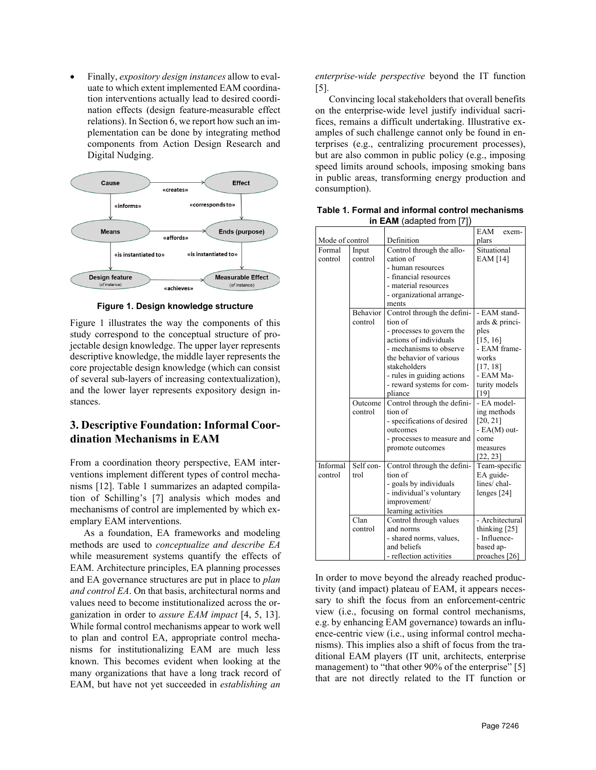• Finally, *expository design instances* allow to evaluate to which extent implemented EAM coordination interventions actually lead to desired coordination effects (design feature-measurable effect relations). In Section 6, we report how such an implementation can be done by integrating method components from Action Design Research and Digital Nudging.



**Figure 1. Design knowledge structure**

Figure 1 illustrates the way the components of this study correspond to the conceptual structure of projectable design knowledge. The upper layer represents descriptive knowledge, the middle layer represents the core projectable design knowledge (which can consist of several sub-layers of increasing contextualization), and the lower layer represents expository design instances.

# **3. Descriptive Foundation: Informal Coordination Mechanisms in EAM**

From a coordination theory perspective, EAM interventions implement different types of control mechanisms [12]. Table 1 summarizes an adapted compilation of Schilling's [7] analysis which modes and mechanisms of control are implemented by which exemplary EAM interventions.

As a foundation, EA frameworks and modeling methods are used to *conceptualize and describe EA* while measurement systems quantify the effects of EAM. Architecture principles, EA planning processes and EA governance structures are put in place to *plan and control EA*. On that basis, architectural norms and values need to become institutionalized across the organization in order to *assure EAM impact* [4, 5, 13]. While formal control mechanisms appear to work well to plan and control EA, appropriate control mechanisms for institutionalizing EAM are much less known. This becomes evident when looking at the many organizations that have a long track record of EAM, but have not yet succeeded in *establishing an* 

*enterprise-wide perspective* beyond the IT function [5].

Convincing local stakeholders that overall benefits on the enterprise-wide level justify individual sacrifices, remains a difficult undertaking. Illustrative examples of such challenge cannot only be found in enterprises (e.g., centralizing procurement processes), but are also common in public policy (e.g., imposing speed limits around schools, imposing smoking bans in public areas, transforming energy production and consumption).

|                 |                 |                                                     | EAM<br>exem-             |  |  |
|-----------------|-----------------|-----------------------------------------------------|--------------------------|--|--|
| Mode of control |                 | Definition                                          | plars                    |  |  |
| Formal          | Input           | Control through the allo-                           | Situational              |  |  |
| control         | control         | cation of                                           | EAM [14]                 |  |  |
|                 |                 | - human resources                                   |                          |  |  |
|                 |                 | - financial resources                               |                          |  |  |
|                 |                 | - material resources                                |                          |  |  |
|                 |                 | - organizational arrange-                           |                          |  |  |
|                 |                 | ments                                               |                          |  |  |
|                 | <b>Behavior</b> | Control through the defini-                         | - EAM stand-             |  |  |
|                 | control         | tion of                                             | ards & princi-           |  |  |
|                 |                 | - processes to govern the<br>actions of individuals | ples                     |  |  |
|                 |                 | - mechanisms to observe                             | [15, 16]<br>- EAM frame- |  |  |
|                 |                 | the behavior of various                             | works                    |  |  |
|                 |                 | stakeholders                                        | [17, 18]                 |  |  |
|                 |                 | - rules in guiding actions                          | - EAM Ma-                |  |  |
|                 |                 | - reward systems for com-                           | turity models            |  |  |
|                 |                 | pliance                                             | [19]                     |  |  |
|                 | Outcome         | Control through the defini-                         | - EA model-              |  |  |
|                 | control         | tion of                                             | ing methods              |  |  |
|                 |                 | - specifications of desired                         | [20, 21]                 |  |  |
|                 |                 | outcomes                                            | - EA(M) out-             |  |  |
|                 |                 | - processes to measure and                          | come                     |  |  |
|                 |                 | promote outcomes                                    | measures                 |  |  |
|                 |                 |                                                     | [22, 23]                 |  |  |
| Informal        | Self con-       | Control through the defini-                         | Team-specific            |  |  |
| control         | trol            | tion of                                             | EA guide-<br>lines/chal- |  |  |
|                 |                 | - goals by individuals<br>- individual's voluntary  |                          |  |  |
|                 |                 | improvement/                                        | lenges [24]              |  |  |
|                 |                 | learning activities                                 |                          |  |  |
|                 | Clan            | Control through values                              | - Architectural          |  |  |
|                 | control         | and norms                                           | thinking [25]            |  |  |
|                 |                 | - shared norms, values,                             | - Influence-             |  |  |
|                 |                 | and beliefs                                         | based ap-                |  |  |
|                 |                 | - reflection activities                             | proaches [26]            |  |  |

**Table 1. Formal and informal control mechanisms in EAM** (adapted from [7])

In order to move beyond the already reached productivity (and impact) plateau of EAM, it appears necessary to shift the focus from an enforcement-centric view (i.e., focusing on formal control mechanisms, e.g. by enhancing EAM governance) towards an influence-centric view (i.e., using informal control mechanisms). This implies also a shift of focus from the traditional EAM players (IT unit, architects, enterprise management) to "that other 90% of the enterprise" [5] that are not directly related to the IT function or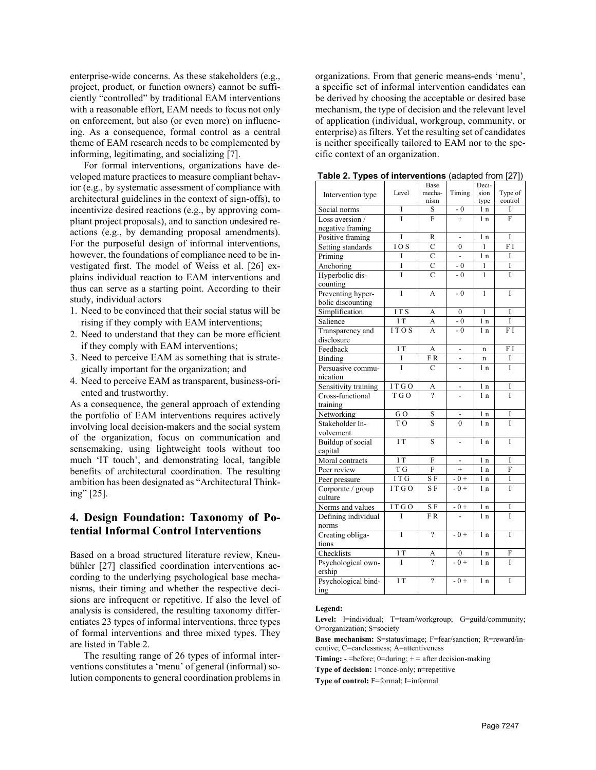enterprise-wide concerns. As these stakeholders (e.g., project, product, or function owners) cannot be sufficiently "controlled" by traditional EAM interventions with a reasonable effort, EAM needs to focus not only on enforcement, but also (or even more) on influencing. As a consequence, formal control as a central theme of EAM research needs to be complemented by informing, legitimating, and socializing [7].

For formal interventions, organizations have developed mature practices to measure compliant behavior (e.g., by systematic assessment of compliance with architectural guidelines in the context of sign-offs), to incentivize desired reactions (e.g., by approving compliant project proposals), and to sanction undesired reactions (e.g., by demanding proposal amendments). For the purposeful design of informal interventions, however, the foundations of compliance need to be investigated first. The model of Weiss et al. [26] explains individual reaction to EAM interventions and thus can serve as a starting point. According to their study, individual actors

- 1. Need to be convinced that their social status will be rising if they comply with EAM interventions;
- 2. Need to understand that they can be more efficient if they comply with EAM interventions;
- 3. Need to perceive EAM as something that is strategically important for the organization; and
- 4. Need to perceive EAM as transparent, business-oriented and trustworthy.

As a consequence, the general approach of extending the portfolio of EAM interventions requires actively involving local decision-makers and the social system of the organization, focus on communication and sensemaking, using lightweight tools without too much 'IT touch', and demonstrating local, tangible benefits of architectural coordination. The resulting ambition has been designated as "Architectural Thinking" [25].

## **4. Design Foundation: Taxonomy of Potential Informal Control Interventions**

Based on a broad structured literature review, Kneubühler [27] classified coordination interventions according to the underlying psychological base mechanisms, their timing and whether the respective decisions are infrequent or repetitive. If also the level of analysis is considered, the resulting taxonomy differentiates 23 types of informal interventions, three types of formal interventions and three mixed types. They are listed in Table 2.

The resulting range of 26 types of informal interventions constitutes a 'menu' of general (informal) solution components to general coordination problems in organizations. From that generic means-ends 'menu', a specific set of informal intervention candidates can be derived by choosing the acceptable or desired base mechanism, the type of decision and the relevant level of application (individual, workgroup, community, or enterprise) as filters. Yet the resulting set of candidates is neither specifically tailored to EAM nor to the specific context of an organization.

| rable 2. Types of file refigures |                   |                     |                          |                | langhrom In [51] |
|----------------------------------|-------------------|---------------------|--------------------------|----------------|------------------|
|                                  |                   | Base                |                          | Deci-          |                  |
| Intervention type                | Level             | mecha-              | Timing                   | sion           | Type of          |
|                                  |                   | nism                |                          | type           | control          |
| Social norms                     | I                 | S                   | $-0$                     | 1 n            | I                |
| Loss aversion /                  | Ī                 | F                   | $\ddot{}$                | 1n             | F                |
| negative framing                 |                   |                     |                          |                |                  |
| Positive framing                 | Ī                 | R                   |                          | 1 <sub>n</sub> | Ī                |
| Setting standards                | $\overline{10}$ S | Ċ                   | $\theta$                 | 1              | F I              |
| Priming                          | I                 | $\overline{C}$      | $\frac{1}{2}$            | 1 <sub>n</sub> | Ī                |
| Anchoring                        | Ī                 | $\overline{C}$      | $-0$                     | 1              | Ī                |
| Hyperbolic dis-                  | Ī                 | $\overline{C}$      | $-0$                     | 1              | Ī                |
| counting                         |                   |                     |                          |                |                  |
| Preventing hyper-                | Ī                 | A                   | $-0$                     | 1              | Ī                |
| bolic discounting                |                   |                     |                          |                |                  |
| Simplification                   | IT <sub>S</sub>   | A                   | $\mathbf{0}$             | $\mathbf{1}$   | I                |
| Salience                         | I T               | A                   | $-0$                     | 1 <sub>n</sub> | Ī                |
| Transparency and                 | 1TOS              | A                   | $-0$                     | 1 <sub>n</sub> | FΙ               |
| disclosure                       |                   |                     |                          |                |                  |
| Feedback                         | $\overline{1}$ T  | A                   | $\overline{a}$           | $\mathbf n$    | F I              |
| Binding                          | I                 | FR.                 |                          | n              | I                |
| Persuasive commu-                | Ī                 | $\overline{C}$      |                          | 1 <sub>n</sub> | Ī                |
|                                  |                   |                     |                          |                |                  |
| nication                         |                   |                     |                          |                |                  |
| Sensitivity training             | ITGO              | A<br>?              | -                        | 1 n            | I                |
| Cross-functional                 | T G O             |                     |                          | 1 <sub>n</sub> | Ī                |
| training                         |                   |                     |                          |                |                  |
| Networking                       | GO                | S                   |                          | 1 n            | I                |
| Stakeholder In-                  | T <sub>O</sub>    | S                   | $\theta$                 | 1 <sub>n</sub> | Ī                |
| volvement                        |                   |                     |                          |                |                  |
| Buildup of social                | IT                | S                   | $\overline{\phantom{0}}$ | 1 <sub>n</sub> | I                |
| capital                          |                   |                     |                          |                |                  |
| Moral contracts                  | $\overline{1T}$   | F                   | $\frac{1}{2}$            | 1n             | Ī                |
| Peer review                      | T G               | $\overline{F}$      | $^{+}$                   | 1 <sub>n</sub> | F                |
| Peer pressure                    | $\overline{IT}$ G | S F                 | $-0 +$                   | 1 <sub>n</sub> | I                |
| Corporate / group                | ITGO              | S F                 | $-0+$                    | 1 <sub>n</sub> | Ī                |
| culture                          |                   |                     |                          |                |                  |
| Norms and values                 | ITGO              | $\overline{\rm SF}$ | $-0+$                    | 1n             | Ī                |
| Defining individual              | T                 | $\overline{F}R$     |                          | 1 <sub>n</sub> | Ī                |
| norms                            |                   |                     |                          |                |                  |
| Creating obliga-                 | Ī                 | $\gamma$            | $-0+$                    | 1n             | Ī                |
| tions                            |                   |                     |                          |                |                  |
| Checklists                       | I T               | A                   | 0                        | 1 n            | F                |
| Psychological own-               | Ī                 | 9                   | $-0+$                    | 1 <sub>n</sub> | Ī                |
| ership                           |                   |                     |                          |                |                  |
| Psychological bind-              | IΤ                | $\overline{\cdot}$  | $-0+$                    | 1 <sub>n</sub> | I                |
|                                  |                   |                     |                          |                |                  |
| ing                              |                   |                     |                          |                |                  |

**Table 2. Types of interventions** (adapted from [27])

#### **Legend:**

Level: I=individual; T=team/workgroup; G=guild/community; O=organization; S=society

**Base mechanism:** S=status/image; F=fear/sanction; R=reward/incentive; C=carelessness; A=attentiveness

**Timing:** - =before; 0=during; + = after decision-making

**Type of decision:** 1=once-only; n=repetitive

**Type of control:** F=formal; I=informal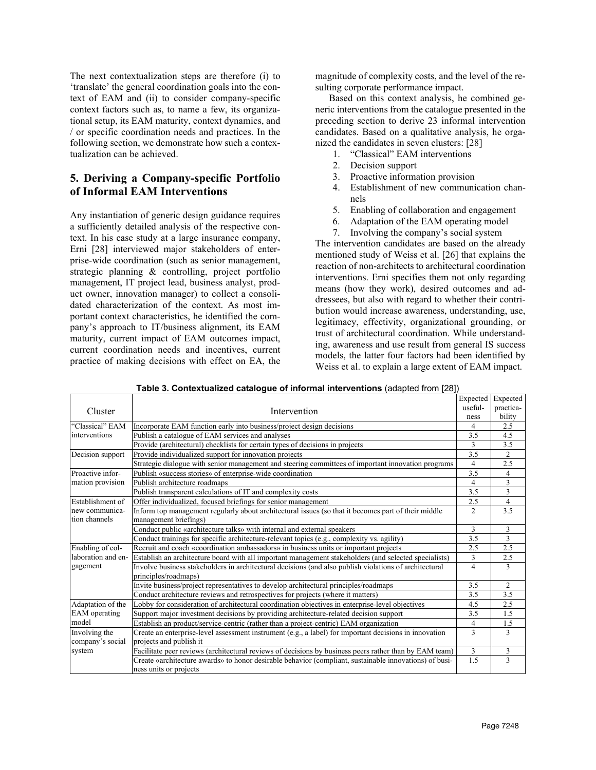The next contextualization steps are therefore (i) to 'translate' the general coordination goals into the context of EAM and (ii) to consider company-specific context factors such as, to name a few, its organizational setup, its EAM maturity, context dynamics, and / or specific coordination needs and practices. In the following section, we demonstrate how such a contextualization can be achieved.

# **5. Deriving a Company-specific Portfolio of Informal EAM Interventions**

Any instantiation of generic design guidance requires a sufficiently detailed analysis of the respective context. In his case study at a large insurance company, Erni [28] interviewed major stakeholders of enterprise-wide coordination (such as senior management, strategic planning & controlling, project portfolio management, IT project lead, business analyst, product owner, innovation manager) to collect a consolidated characterization of the context. As most important context characteristics, he identified the company's approach to IT/business alignment, its EAM maturity, current impact of EAM outcomes impact, current coordination needs and incentives, current practice of making decisions with effect on EA, the magnitude of complexity costs, and the level of the resulting corporate performance impact.

Based on this context analysis, he combined generic interventions from the catalogue presented in the preceding section to derive 23 informal intervention candidates. Based on a qualitative analysis, he organized the candidates in seven clusters: [28]

- 1. "Classical" EAM interventions
- 2. Decision support
- 3. Proactive information provision
- 4. Establishment of new communication channels
- 5. Enabling of collaboration and engagement
- 6. Adaptation of the EAM operating model
- 7. Involving the company's social system

The intervention candidates are based on the already mentioned study of Weiss et al. [26] that explains the reaction of non-architects to architectural coordination interventions. Erni specifies them not only regarding means (how they work), desired outcomes and addressees, but also with regard to whether their contribution would increase awareness, understanding, use, legitimacy, effectivity, organizational grounding, or trust of architectural coordination. While understanding, awareness and use result from general IS success models, the latter four factors had been identified by Weiss et al. to explain a large extent of EAM impact.

|                    |                                                                                                                     | Expected       | Expected            |  |
|--------------------|---------------------------------------------------------------------------------------------------------------------|----------------|---------------------|--|
| Cluster            | Intervention                                                                                                        | useful-        | practica-<br>bility |  |
|                    |                                                                                                                     |                |                     |  |
| "Classical" EAM    | Incorporate EAM function early into business/project design decisions                                               | 4              | 2.5                 |  |
| interventions      | Publish a catalogue of EAM services and analyses                                                                    | 3.5            | 4.5                 |  |
|                    | Provide (architectural) checklists for certain types of decisions in projects                                       | 3              | 3.5                 |  |
| Decision support   | Provide individualized support for innovation projects                                                              | 3.5            | $\overline{2}$      |  |
|                    | Strategic dialogue with senior management and steering committees of important innovation programs                  | 4              | 2.5                 |  |
| Proactive infor-   | Publish «success stories» of enterprise-wide coordination                                                           | 3.5            | 4                   |  |
| mation provision   | Publish architecture roadmaps                                                                                       | 4              | 3                   |  |
|                    | Publish transparent calculations of IT and complexity costs                                                         | 3.5            | 3                   |  |
| Establishment of   | Offer individualized, focused briefings for senior management                                                       |                | $\overline{4}$      |  |
| new communica-     | Inform top management regularly about architectural issues (so that it becomes part of their middle                 | $\overline{c}$ | 3.5                 |  |
| tion channels      | management briefings)                                                                                               |                |                     |  |
|                    | Conduct public «architecture talks» with internal and external speakers                                             | 3              | 3                   |  |
|                    | Conduct trainings for specific architecture-relevant topics (e.g., complexity vs. agility)                          | 3.5            | 3                   |  |
| Enabling of col-   | Recruit and coach «coordination ambassadors» in business units or important projects                                | 2.5            | 2.5                 |  |
| laboration and en- | Establish an architecture board with all important management stakeholders (and selected specialists)               |                | 2.5                 |  |
| gagement           | Involve business stakeholders in architectural decisions (and also publish violations of architectural              | $\overline{4}$ | 3                   |  |
|                    | principles/roadmaps)                                                                                                |                |                     |  |
|                    | Invite business/project representatives to develop architectural principles/roadmaps                                | 3.5            | 2                   |  |
|                    | Conduct architecture reviews and retrospectives for projects (where it matters)                                     | 3.5            | 3.5                 |  |
| Adaptation of the  | Lobby for consideration of architectural coordination objectives in enterprise-level objectives                     | 4.5            | 2.5                 |  |
| EAM operating      | Support major investment decisions by providing architecture-related decision support                               | 3.5            | 1.5                 |  |
| model              | Establish an product/service-centric (rather than a project-centric) EAM organization                               | 4              | 1.5                 |  |
| Involving the      | Create an enterprise-level assessment instrument $(\overline{e.g., a label})$ for important decisions in innovation | 3              | 3                   |  |
| company's social   | projects and publish it                                                                                             |                |                     |  |
| system             | Facilitate peer reviews (architectural reviews of decisions by business peers rather than by EAM team)              | 3              | 3                   |  |
|                    | Create «architecture awards» to honor desirable behavior (compliant, sustainable innovations) of busi-              | 1.5            | $\overline{3}$      |  |
|                    | ness units or projects                                                                                              |                |                     |  |

| Table 3. Contextualized catalogue of informal interventions (adapted from [28]) |  |  |  |  |
|---------------------------------------------------------------------------------|--|--|--|--|
|                                                                                 |  |  |  |  |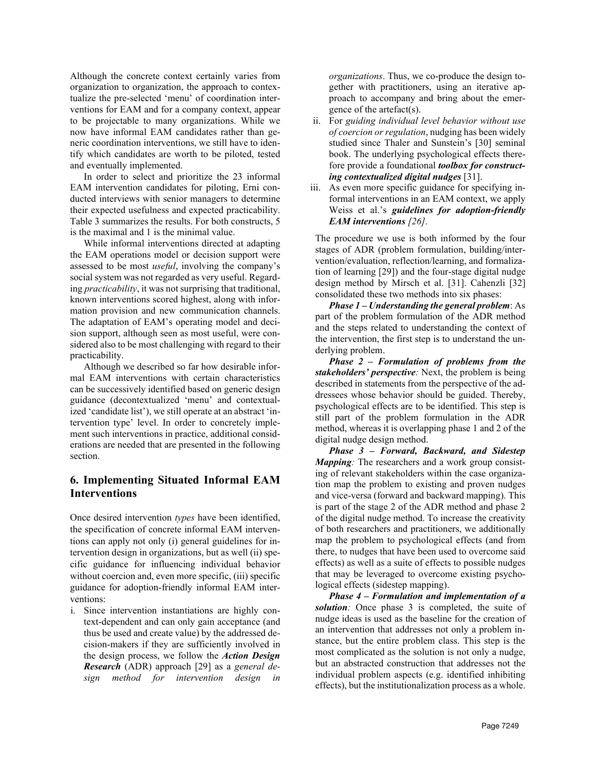Although the concrete context certainly varies from organization to organization, the approach to contextualize the pre-selected 'menu' of coordination interventions for EAM and for a company context, appear to be projectable to many organizations. While we now have informal EAM candidates rather than generic coordination interventions, we still have to identify which candidates are worth to be piloted, tested and eventually implemented.

In order to select and prioritize the 23 informal EAM intervention candidates for piloting, Erni conducted interviews with senior managers to determine their expected usefulness and expected practicability. Table 3 summarizes the results. For both constructs, 5 is the maximal and 1 is the minimal value.

While informal interventions directed at adapting the EAM operations model or decision support were assessed to be most *useful*, involving the company's social system was not regarded as very useful. Regarding *practicability*, it was not surprising that traditional, known interventions scored highest, along with information provision and new communication channels. The adaptation of EAM's operating model and decision support, although seen as most useful, were considered also to be most challenging with regard to their practicability.

Although we described so far how desirable informal EAM interventions with certain characteristics can be successively identified based on generic design guidance (decontextualized 'menu' and contextualized 'candidate list'), we still operate at an abstract 'intervention type' level. In order to concretely implement such interventions in practice, additional considerations are needed that are presented in the following section.

## **6. Implementing Situated Informal EAM Interventions**

Once desired intervention *types* have been identified, the specification of concrete informal EAM interventions can apply not only (i) general guidelines for intervention design in organizations, but as well (ii) specific guidance for influencing individual behavior without coercion and, even more specific, (iii) specific guidance for adoption-friendly informal EAM interventions:

i. Since intervention instantiations are highly context-dependent and can only gain acceptance (and thus be used and create value) by the addressed decision-makers if they are sufficiently involved in the design process, we follow the *Action Design Research* (ADR) approach [29] as a *general design method for intervention design in* 

*organizations*. Thus, we co-produce the design together with practitioners, using an iterative approach to accompany and bring about the emergence of the artefact(s).

- ii. For *guiding individual level behavior without use of coercion or regulation*, nudging has been widely studied since Thaler and Sunstein's [30] seminal book. The underlying psychological effects therefore provide a foundational *toolbox for constructing contextualized digital nudges* [31].
- iii. As even more specific guidance for specifying informal interventions in an EAM context, we apply Weiss et al.'s *guidelines for adoption-friendly EAM interventions [26]*.

The procedure we use is both informed by the four stages of ADR (problem formulation, building/intervention/evaluation, reflection/learning, and formalization of learning [29]) and the four-stage digital nudge design method by Mirsch et al. [31]. Cahenzli [32] consolidated these two methods into six phases:

*Phase 1 – Understanding the general problem*: As part of the problem formulation of the ADR method and the steps related to understanding the context of the intervention, the first step is to understand the underlying problem.

*Phase 2 – Formulation of problems from the stakeholders' perspective:* Next, the problem is being described in statements from the perspective of the addressees whose behavior should be guided. Thereby, psychological effects are to be identified. This step is still part of the problem formulation in the ADR method, whereas it is overlapping phase 1 and 2 of the digital nudge design method.

*Phase 3 – Forward, Backward, and Sidestep Mapping*: The researchers and a work group consisting of relevant stakeholders within the case organization map the problem to existing and proven nudges and vice-versa (forward and backward mapping). This is part of the stage 2 of the ADR method and phase 2 of the digital nudge method. To increase the creativity of both researchers and practitioners, we additionally map the problem to psychological effects (and from there, to nudges that have been used to overcome said effects) as well as a suite of effects to possible nudges that may be leveraged to overcome existing psychological effects (sidestep mapping).

*Phase 4 – Formulation and implementation of a solution:* Once phase 3 is completed, the suite of nudge ideas is used as the baseline for the creation of an intervention that addresses not only a problem instance, but the entire problem class. This step is the most complicated as the solution is not only a nudge, but an abstracted construction that addresses not the individual problem aspects (e.g. identified inhibiting effects), but the institutionalization process as a whole.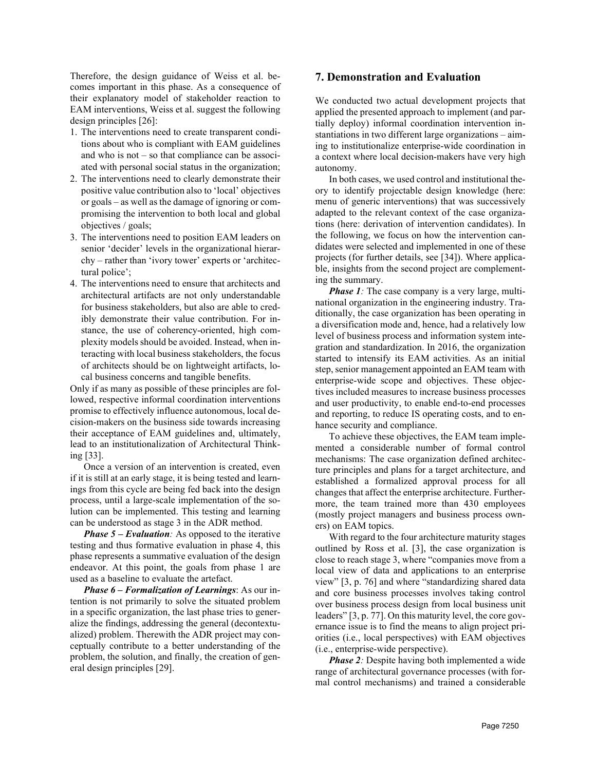Therefore, the design guidance of Weiss et al. becomes important in this phase. As a consequence of their explanatory model of stakeholder reaction to EAM interventions, Weiss et al. suggest the following design principles [26]:

- 1. The interventions need to create transparent conditions about who is compliant with EAM guidelines and who is not – so that compliance can be associated with personal social status in the organization;
- 2. The interventions need to clearly demonstrate their positive value contribution also to 'local' objectives or goals – as well as the damage of ignoring or compromising the intervention to both local and global objectives / goals;
- 3. The interventions need to position EAM leaders on senior 'decider' levels in the organizational hierarchy – rather than 'ivory tower' experts or 'architectural police';
- 4. The interventions need to ensure that architects and architectural artifacts are not only understandable for business stakeholders, but also are able to credibly demonstrate their value contribution. For instance, the use of coherency-oriented, high complexity models should be avoided. Instead, when interacting with local business stakeholders, the focus of architects should be on lightweight artifacts, local business concerns and tangible benefits.

Only if as many as possible of these principles are followed, respective informal coordination interventions promise to effectively influence autonomous, local decision-makers on the business side towards increasing their acceptance of EAM guidelines and, ultimately, lead to an institutionalization of Architectural Thinking [33].

Once a version of an intervention is created, even if it is still at an early stage, it is being tested and learnings from this cycle are being fed back into the design process, until a large-scale implementation of the solution can be implemented. This testing and learning can be understood as stage 3 in the ADR method.

*Phase 5 – Evaluation:* As opposed to the iterative testing and thus formative evaluation in phase 4, this phase represents a summative evaluation of the design endeavor. At this point, the goals from phase 1 are used as a baseline to evaluate the artefact.

*Phase 6 – Formalization of Learnings*: As our intention is not primarily to solve the situated problem in a specific organization, the last phase tries to generalize the findings, addressing the general (decontextualized) problem. Therewith the ADR project may conceptually contribute to a better understanding of the problem, the solution, and finally, the creation of general design principles [29].

### **7. Demonstration and Evaluation**

We conducted two actual development projects that applied the presented approach to implement (and partially deploy) informal coordination intervention instantiations in two different large organizations – aiming to institutionalize enterprise-wide coordination in a context where local decision-makers have very high autonomy.

In both cases, we used control and institutional theory to identify projectable design knowledge (here: menu of generic interventions) that was successively adapted to the relevant context of the case organizations (here: derivation of intervention candidates). In the following, we focus on how the intervention candidates were selected and implemented in one of these projects (for further details, see [34]). Where applicable, insights from the second project are complementing the summary.

*Phase 1*: The case company is a very large, multinational organization in the engineering industry. Traditionally, the case organization has been operating in a diversification mode and, hence, had a relatively low level of business process and information system integration and standardization. In 2016, the organization started to intensify its EAM activities. As an initial step, senior management appointed an EAM team with enterprise-wide scope and objectives. These objectives included measures to increase business processes and user productivity, to enable end-to-end processes and reporting, to reduce IS operating costs, and to enhance security and compliance.

To achieve these objectives, the EAM team implemented a considerable number of formal control mechanisms: The case organization defined architecture principles and plans for a target architecture, and established a formalized approval process for all changes that affect the enterprise architecture. Furthermore, the team trained more than 430 employees (mostly project managers and business process owners) on EAM topics.

With regard to the four architecture maturity stages outlined by Ross et al. [3], the case organization is close to reach stage 3, where "companies move from a local view of data and applications to an enterprise view" [3, p. 76] and where "standardizing shared data and core business processes involves taking control over business process design from local business unit leaders" [3, p. 77]. On this maturity level, the core governance issue is to find the means to align project priorities (i.e., local perspectives) with EAM objectives (i.e., enterprise-wide perspective).

*Phase 2*: Despite having both implemented a wide range of architectural governance processes (with formal control mechanisms) and trained a considerable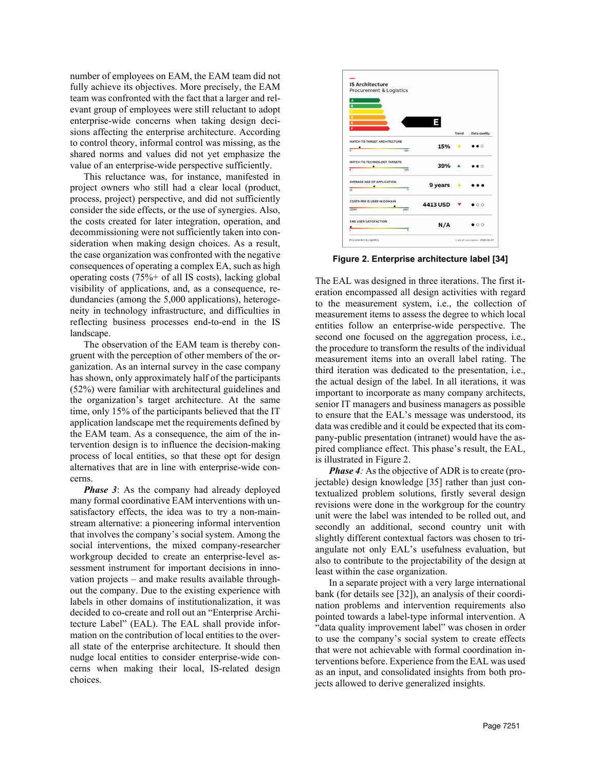number of employees on EAM, the EAM team did not fully achieve its objectives. More precisely, the EAM team was confronted with the fact that a larger and relevant group of employees were still reluctant to adopt enterprise-wide concerns when taking design decisions affecting the enterprise architecture. According to control theory, informal control was missing, as the shared norms and values did not yet emphasize the value of an enterprise-wide perspective sufficiently.

This reluctance was, for instance, manifested in project owners who still had a clear local (product, process, project) perspective, and did not sufficiently consider the side effects, or the use of synergies. Also, the costs created for later integration, operation, and decommissioning were not sufficiently taken into consideration when making design choices. As a result, the case organization was confronted with the negative consequences of operating a complex EA, such as high operating costs (75%+ of all IS costs), lacking global visibility of applications, and, as a consequence, redundancies (among the 5,000 applications), heterogeneity in technology infrastructure, and difficulties in reflecting business processes end-to-end in the IS landscape.

The observation of the EAM team is thereby congruent with the perception of other members of the organization. As an internal survey in the case company has shown, only approximately half of the participants (52%) were familiar with architectural guidelines and the organization's target architecture. At the same time, only 15% of the participants believed that the IT application landscape met the requirements defined by the EAM team. As a consequence, the aim of the intervention design is to influence the decision-making process of local entities, so that these opt for design alternatives that are in line with enterprise-wide concerns.

*Phase* 3: As the company had already deployed many formal coordinative EAM interventions with unsatisfactory effects, the idea was to try a non-mainstream alternative: a pioneering informal intervention that involves the company's social system. Among the social interventions, the mixed company-researcher workgroup decided to create an enterprise-level assessment instrument for important decisions in innovation projects – and make results available throughout the company. Due to the existing experience with labels in other domains of institutionalization, it was decided to co-create and roll out an "Enterprise Architecture Label" (EAL). The EAL shall provide information on the contribution of local entities to the overall state of the enterprise architecture. It should then nudge local entities to consider enterprise-wide concerns when making their local, IS-related design choices.



**Figure 2. Enterprise architecture label [34]**

The EAL was designed in three iterations. The first iteration encompassed all design activities with regard to the measurement system, i.e., the collection of measurement items to assess the degree to which local entities follow an enterprise-wide perspective. The second one focused on the aggregation process, i.e., the procedure to transform the results of the individual measurement items into an overall label rating. The third iteration was dedicated to the presentation, i.e., the actual design of the label. In all iterations, it was important to incorporate as many company architects, senior IT managers and business managers as possible to ensure that the EAL's message was understood, its data was credible and it could be expected that its company-public presentation (intranet) would have the aspired compliance effect. This phase's result, the EAL, is illustrated in Figure 2.

*Phase 4:* As the objective of ADR is to create (projectable) design knowledge [35] rather than just contextualized problem solutions, firstly several design revisions were done in the workgroup for the country unit were the label was intended to be rolled out, and secondly an additional, second country unit with slightly different contextual factors was chosen to triangulate not only EAL's usefulness evaluation, but also to contribute to the projectability of the design at least within the case organization.

In a separate project with a very large international bank (for details see [32]), an analysis of their coordination problems and intervention requirements also pointed towards a label-type informal intervention. A "data quality improvement label" was chosen in order to use the company's social system to create effects that were not achievable with formal coordination interventions before. Experience from the EAL was used as an input, and consolidated insights from both projects allowed to derive generalized insights.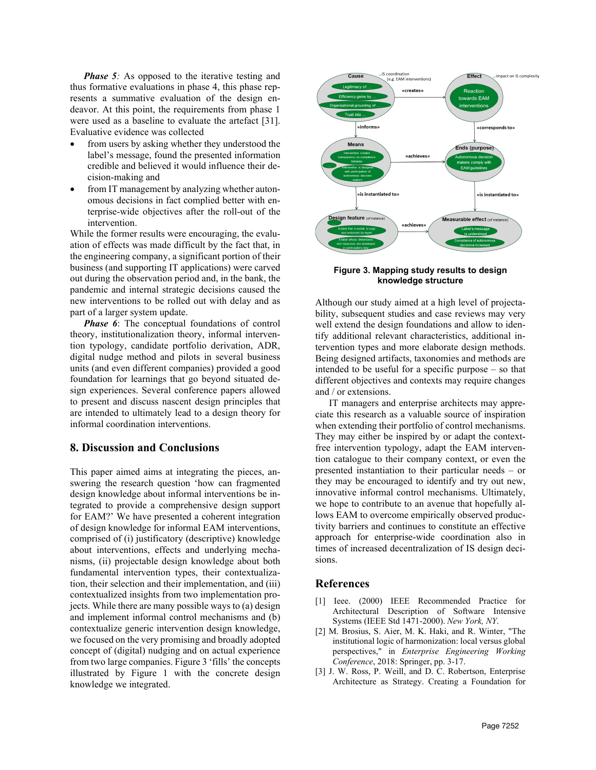*Phase 5:* As opposed to the iterative testing and thus formative evaluations in phase 4, this phase represents a summative evaluation of the design endeavor. At this point, the requirements from phase 1 were used as a baseline to evaluate the artefact [31]. Evaluative evidence was collected

- from users by asking whether they understood the label's message, found the presented information credible and believed it would influence their decision-making and
- from IT management by analyzing whether autonomous decisions in fact complied better with enterprise-wide objectives after the roll-out of the intervention.

While the former results were encouraging, the evaluation of effects was made difficult by the fact that, in the engineering company, a significant portion of their business (and supporting IT applications) were carved out during the observation period and, in the bank, the pandemic and internal strategic decisions caused the new interventions to be rolled out with delay and as part of a larger system update.

*Phase 6*: The conceptual foundations of control theory, institutionalization theory, informal intervention typology, candidate portfolio derivation, ADR, digital nudge method and pilots in several business units (and even different companies) provided a good foundation for learnings that go beyond situated design experiences. Several conference papers allowed to present and discuss nascent design principles that are intended to ultimately lead to a design theory for informal coordination interventions.

#### **8. Discussion and Conclusions**

This paper aimed aims at integrating the pieces, answering the research question 'how can fragmented design knowledge about informal interventions be integrated to provide a comprehensive design support for EAM?' We have presented a coherent integration of design knowledge for informal EAM interventions, comprised of (i) justificatory (descriptive) knowledge about interventions, effects and underlying mechanisms, (ii) projectable design knowledge about both fundamental intervention types, their contextualization, their selection and their implementation, and (iii) contextualized insights from two implementation projects. While there are many possible ways to (a) design and implement informal control mechanisms and (b) contextualize generic intervention design knowledge, we focused on the very promising and broadly adopted concept of (digital) nudging and on actual experience from two large companies. Figure 3 'fills' the concepts illustrated by Figure 1 with the concrete design knowledge we integrated.



**Figure 3. Mapping study results to design knowledge structure**

Although our study aimed at a high level of projectability, subsequent studies and case reviews may very well extend the design foundations and allow to identify additional relevant characteristics, additional intervention types and more elaborate design methods. Being designed artifacts, taxonomies and methods are intended to be useful for a specific purpose – so that different objectives and contexts may require changes and / or extensions.

IT managers and enterprise architects may appreciate this research as a valuable source of inspiration when extending their portfolio of control mechanisms. They may either be inspired by or adapt the contextfree intervention typology, adapt the EAM intervention catalogue to their company context, or even the presented instantiation to their particular needs – or they may be encouraged to identify and try out new, innovative informal control mechanisms. Ultimately, we hope to contribute to an avenue that hopefully allows EAM to overcome empirically observed productivity barriers and continues to constitute an effective approach for enterprise-wide coordination also in times of increased decentralization of IS design decisions.

## **References**

- [1] Ieee. (2000) IEEE Recommended Practice for Architectural Description of Software Intensive Systems (IEEE Std 1471-2000). *New York, NY*.
- [2] M. Brosius, S. Aier, M. K. Haki, and R. Winter, "The institutional logic of harmonization: local versus global perspectives," in *Enterprise Engineering Working Conference*, 2018: Springer, pp. 3-17.
- [3] J. W. Ross, P. Weill, and D. C. Robertson, Enterprise Architecture as Strategy. Creating a Foundation for